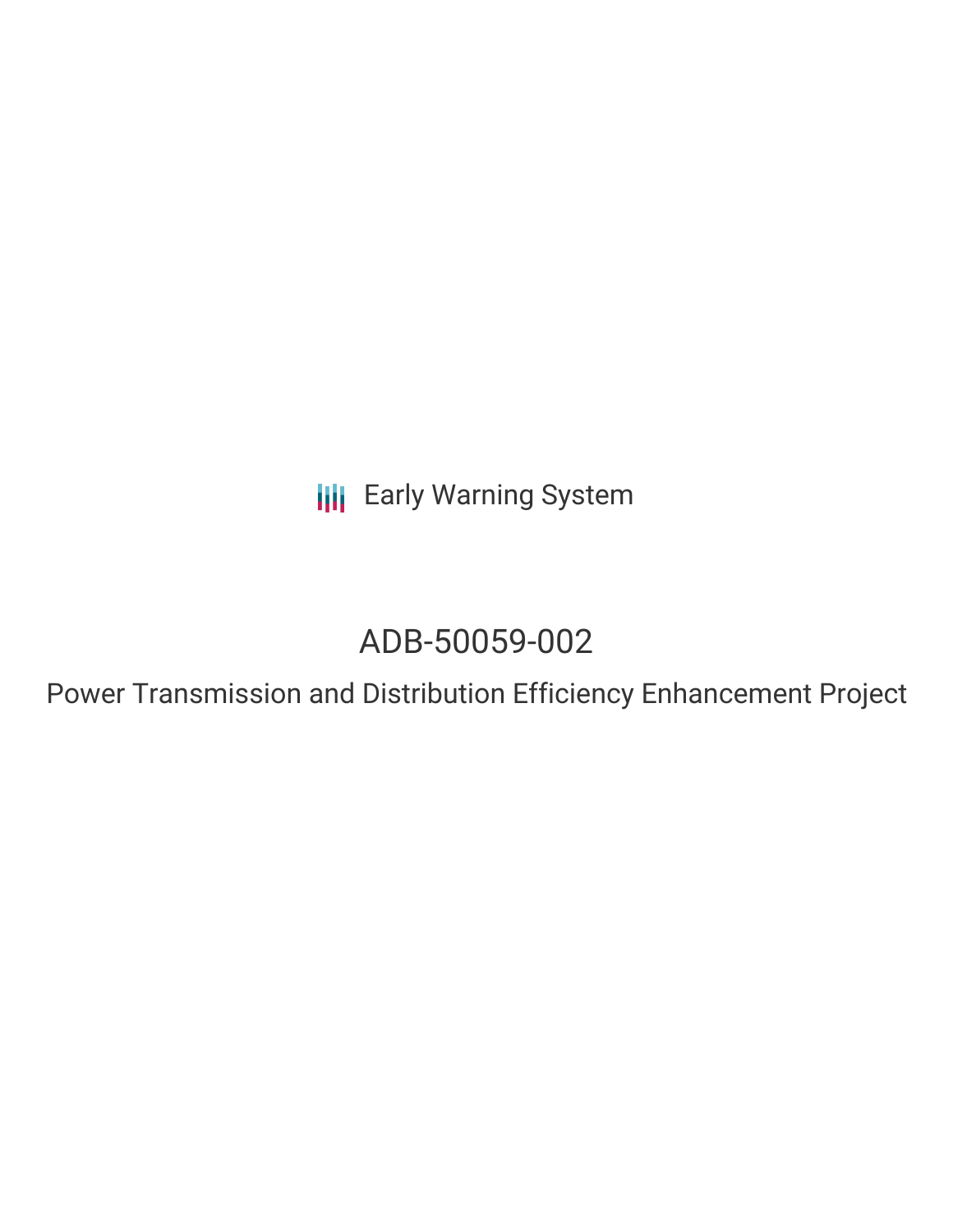**III** Early Warning System

# ADB-50059-002

Power Transmission and Distribution Efficiency Enhancement Project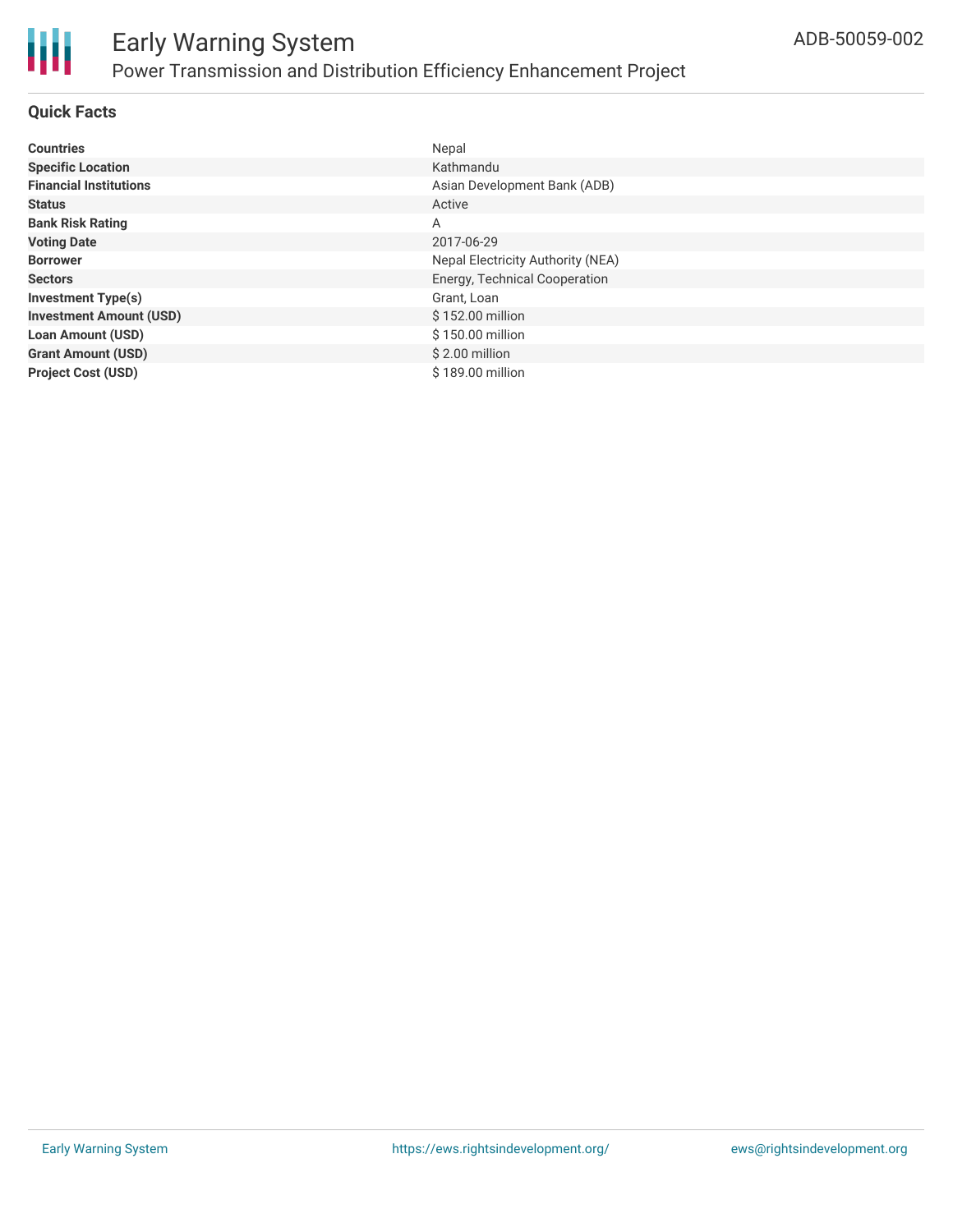

### **Quick Facts**

| <b>Countries</b>               | Nepal                                    |
|--------------------------------|------------------------------------------|
| <b>Specific Location</b>       | Kathmandu                                |
| <b>Financial Institutions</b>  | Asian Development Bank (ADB)             |
| <b>Status</b>                  | Active                                   |
| <b>Bank Risk Rating</b>        | Α                                        |
| <b>Voting Date</b>             | 2017-06-29                               |
| <b>Borrower</b>                | <b>Nepal Electricity Authority (NEA)</b> |
| <b>Sectors</b>                 | Energy, Technical Cooperation            |
| <b>Investment Type(s)</b>      | Grant, Loan                              |
| <b>Investment Amount (USD)</b> | \$152.00 million                         |
| <b>Loan Amount (USD)</b>       | \$150.00 million                         |
| <b>Grant Amount (USD)</b>      | \$2.00 million                           |
| <b>Project Cost (USD)</b>      | \$189.00 million                         |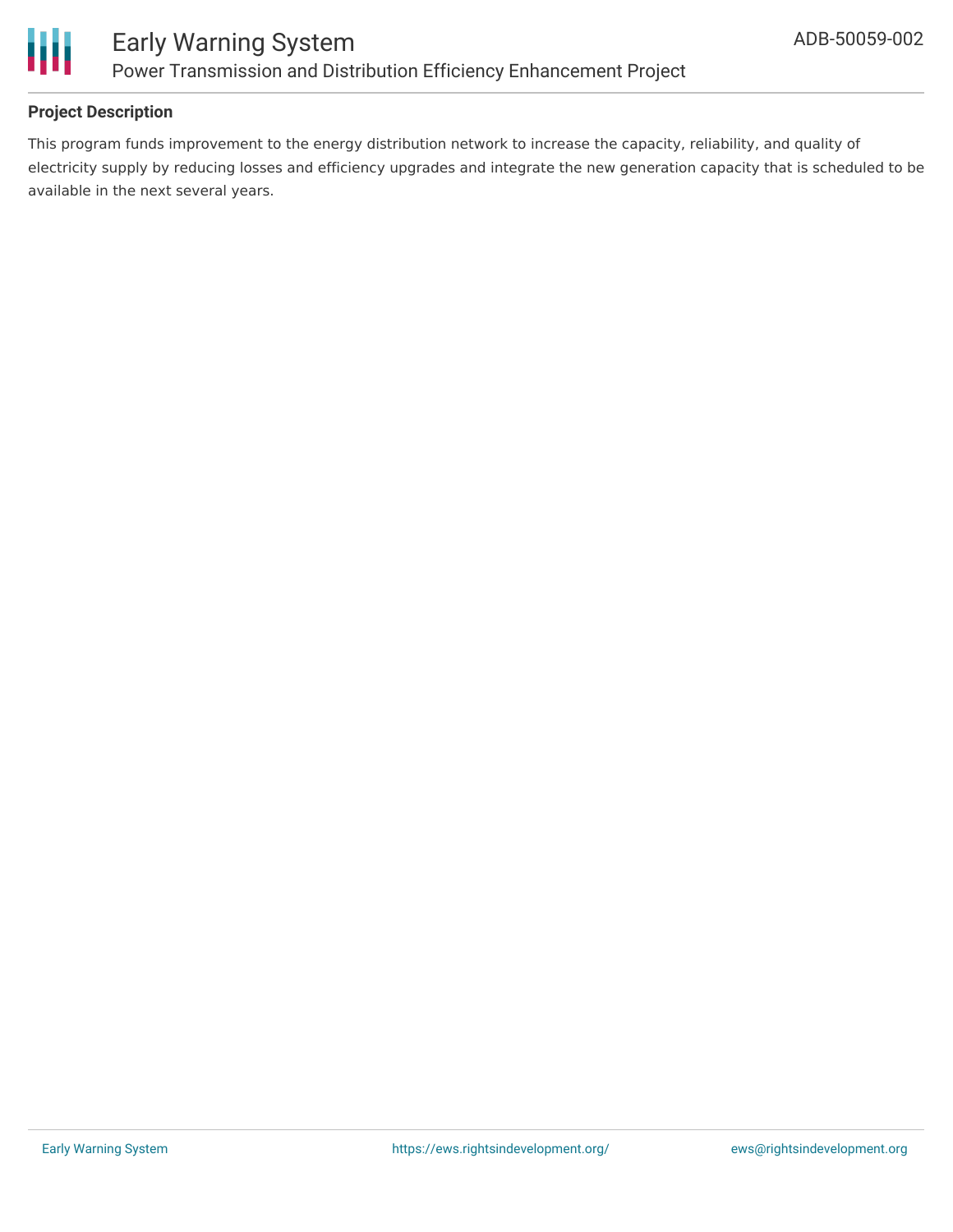

# **Project Description**

This program funds improvement to the energy distribution network to increase the capacity, reliability, and quality of electricity supply by reducing losses and efficiency upgrades and integrate the new generation capacity that is scheduled to be available in the next several years.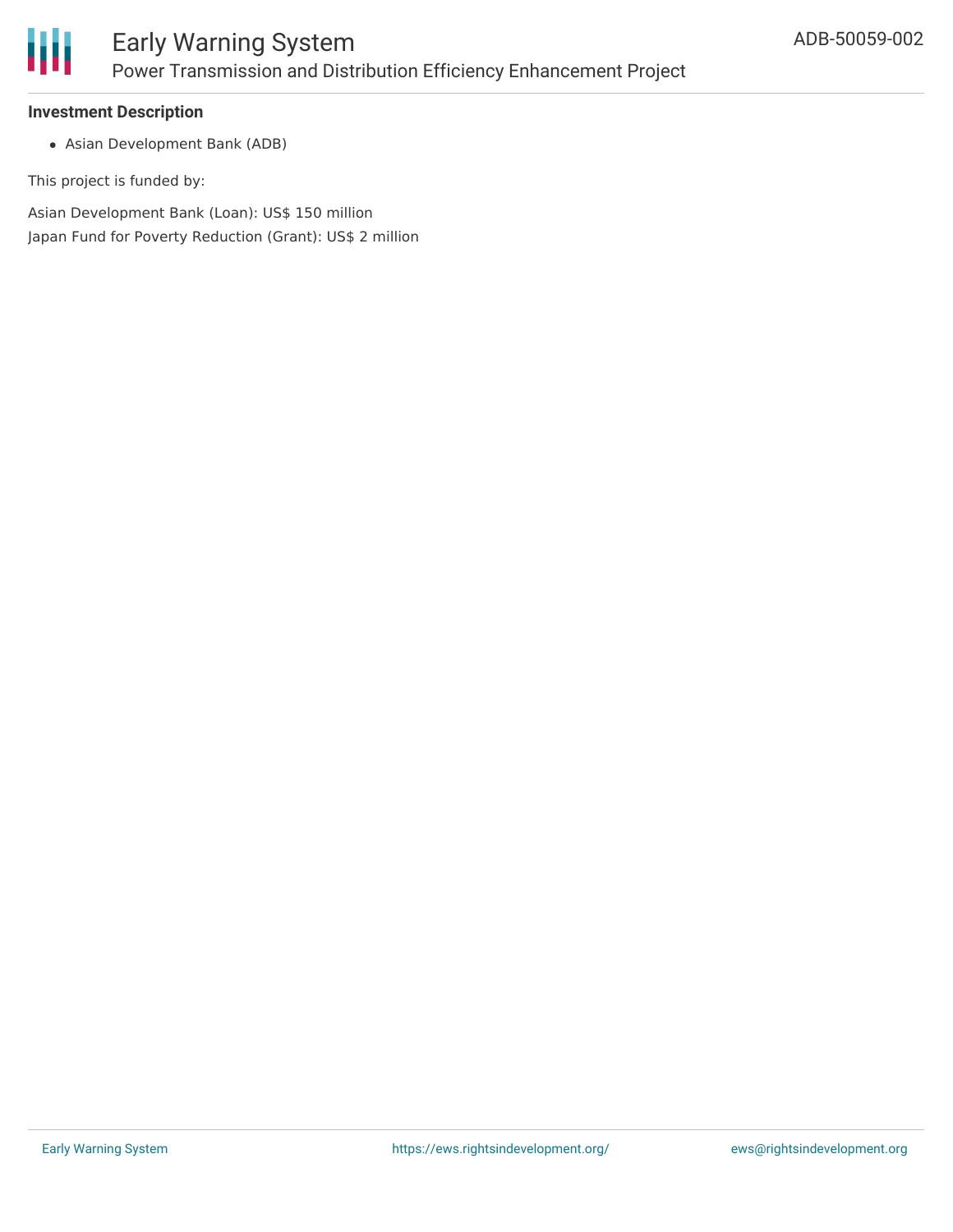

# Early Warning System Power Transmission and Distribution Efficiency Enhancement Project

# **Investment Description**

Asian Development Bank (ADB)

This project is funded by:

Asian Development Bank (Loan): US\$ 150 million Japan Fund for Poverty Reduction (Grant): US\$ 2 million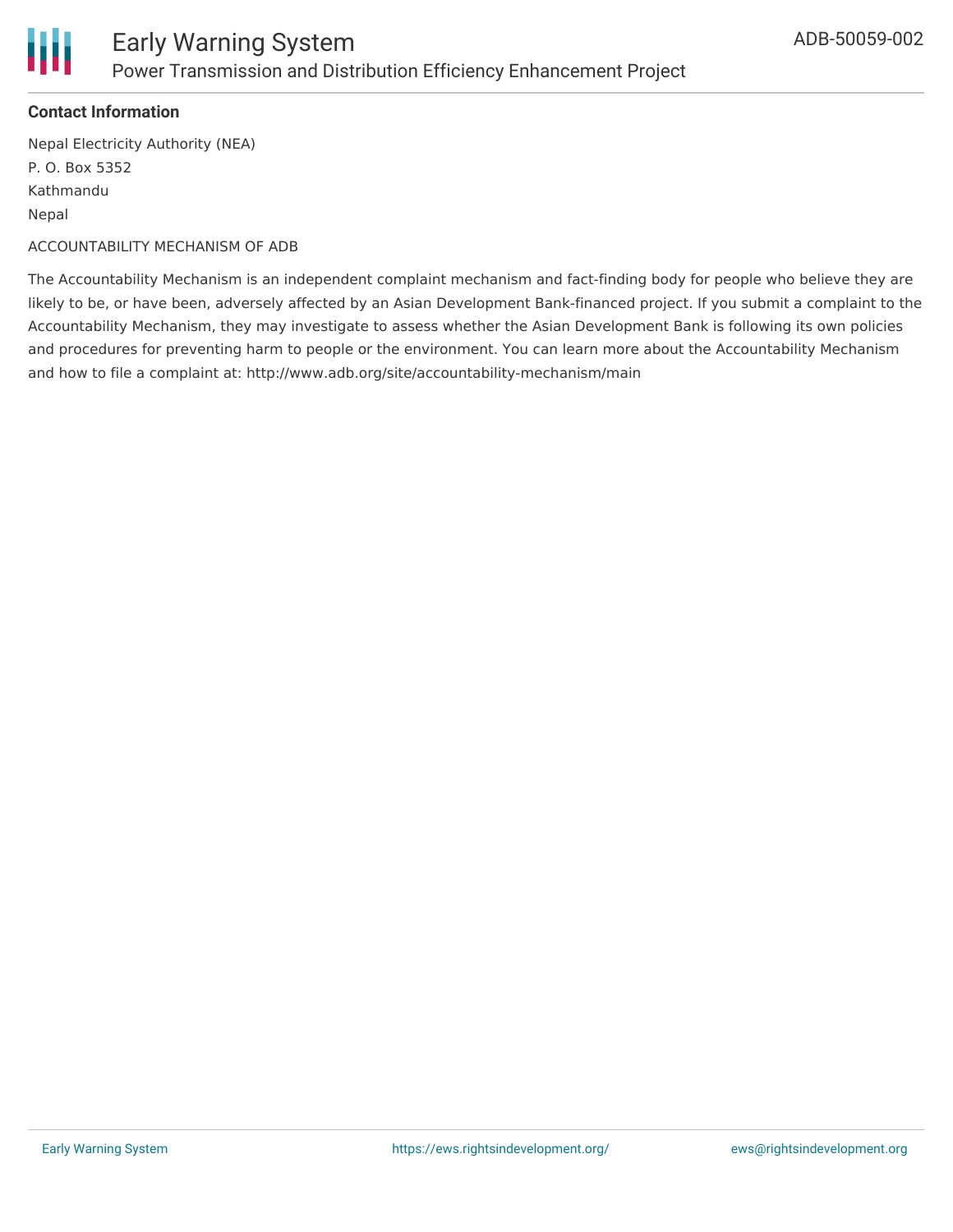

# **Contact Information**

Nepal Electricity Authority (NEA) P. O. Box 5352 Kathmandu **Nepal** 

#### ACCOUNTABILITY MECHANISM OF ADB

The Accountability Mechanism is an independent complaint mechanism and fact-finding body for people who believe they are likely to be, or have been, adversely affected by an Asian Development Bank-financed project. If you submit a complaint to the Accountability Mechanism, they may investigate to assess whether the Asian Development Bank is following its own policies and procedures for preventing harm to people or the environment. You can learn more about the Accountability Mechanism and how to file a complaint at: http://www.adb.org/site/accountability-mechanism/main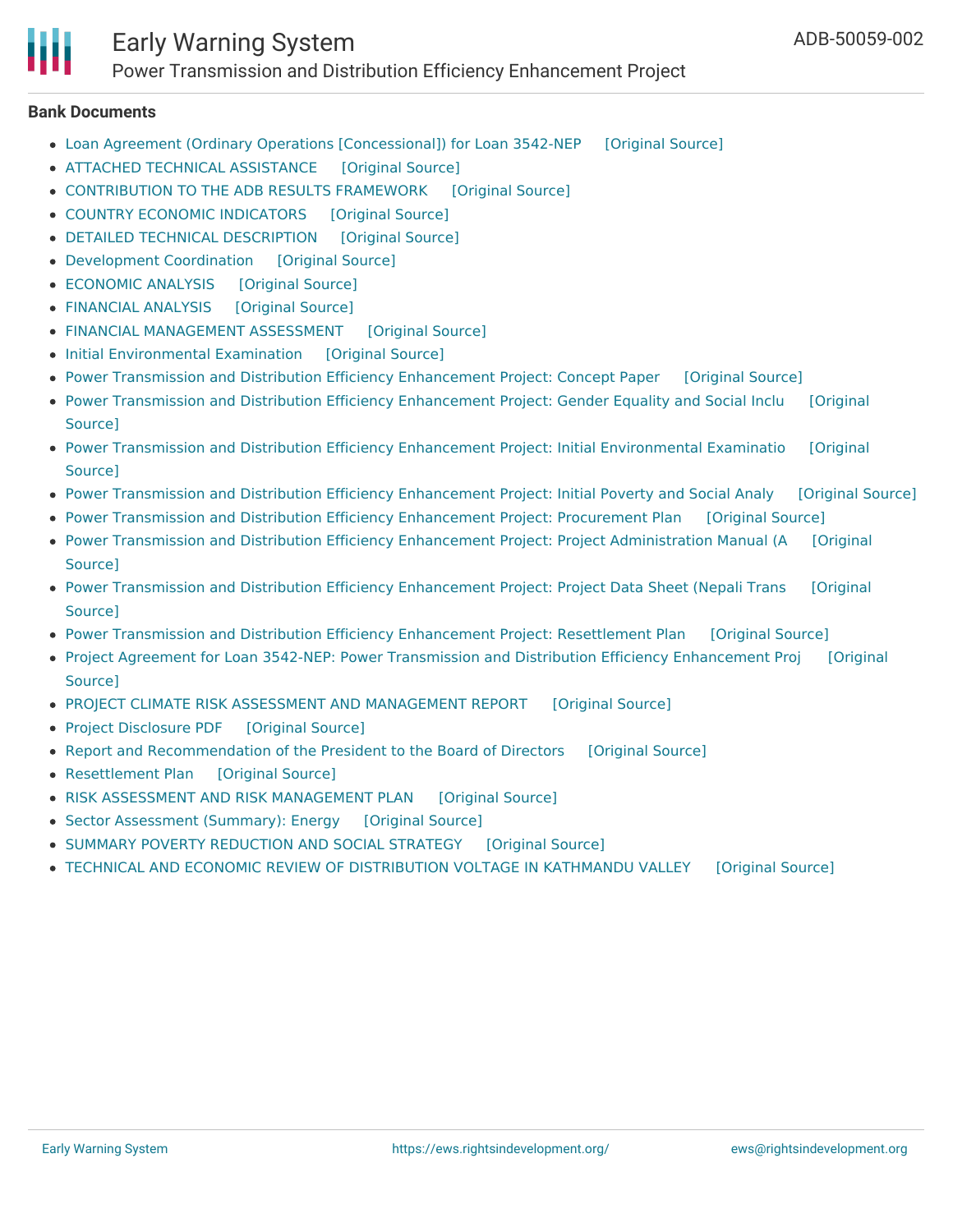

# Early Warning System

Power Transmission and Distribution Efficiency Enhancement Project

### **Bank Documents**

- Loan Agreement (Ordinary Operations [\[Concessional\]\)](https://ewsdata.rightsindevelopment.org/files/documents/02/ADB-50059-002_Oym9SDk.pdf) for Loan 3542-NEP [\[Original](https://www.adb.org/sites/default/files/project-documents/50059/50059-002-lna-en.pdf) Source]
- ATTACHED TECHNICAL [ASSISTANCE](https://ewsdata.rightsindevelopment.org/files/documents/02/ADB-50059-002_AuqxoYT.pdf) [\[Original](https://www.adb.org/sites/default/files/linked-documents/50059-002-ld-ata.pdf) Source]
- [CONTRIBUTION](https://ewsdata.rightsindevelopment.org/files/documents/02/ADB-50059-002_EIAcOa9.pdf) TO THE ADB RESULTS FRAMEWORK [\[Original](https://www.adb.org/sites/default/files/linked-documents/50059-002-ld-crf.pdf) Source]
- COUNTRY ECONOMIC [INDICATORS](https://ewsdata.rightsindevelopment.org/files/documents/02/ADB-50059-002_kWTRNHm.pdf) [\[Original](https://www.adb.org/sites/default/files/linked-documents/50059-002-ld-cei.pdf) Source]
- DETAILED TECHNICAL [DESCRIPTION](https://ewsdata.rightsindevelopment.org/files/documents/02/ADB-50059-002_A3doFvK.pdf) [\[Original](https://www.adb.org/sites/default/files/linked-documents/50059-002-ld-sd-01.pdf) Source]
- [Development](https://ewsdata.rightsindevelopment.org/files/documents/02/ADB-50059-002_jhBbc2w.pdf) Coordination [\[Original](https://www.adb.org/sites/default/files/linked-documents/50059-002-ld-dc.pdf) Source]
- [ECONOMIC](https://ewsdata.rightsindevelopment.org/files/documents/02/ADB-50059-002_LMASaGZ.pdf) ANALYSIS [\[Original](https://www.adb.org/sites/default/files/linked-documents/50059-002-ld-ea.pdf) Source]
- [FINANCIAL](https://ewsdata.rightsindevelopment.org/files/documents/02/ADB-50059-002_rGTeclV.pdf) ANALYSIS [\[Original](https://www.adb.org/sites/default/files/linked-documents/50059-002-ld-fa.pdf) Source]
- FINANCIAL [MANAGEMENT](https://ewsdata.rightsindevelopment.org/files/documents/02/ADB-50059-002_8ZdIxem.pdf) ASSESSMENT [\[Original](https://www.adb.org/sites/default/files/linked-documents/50059-002-ld-sd-03.pdf) Source]
- Initial [Environmental](https://ewsdata.rightsindevelopment.org/files/documents/02/ADB-50059-002_koOWpXz.pdf) Examination [\[Original](https://www.adb.org/sites/default/files/linked-documents/50059-002-ld-ieeab.pdf) Source]
- Power Transmission and Distribution Efficiency [Enhancement](https://ewsdata.rightsindevelopment.org/files/documents/02/ADB-50059-002_vQS5N8H.pdf) Project: Concept Paper [\[Original](https://www.adb.org/projects/documents/nep-power-transmission-and-distribution-efficiency-enhancement-cp) Source]
- Power Transmission and Distribution Efficiency [Enhancement](https://www.adb.org/sites/default/files/project-documents/50059/50059-002-gap-en.pdf) Project: Gender Equality and Social Inclu [Original Source]
- Power Transmission and Distribution Efficiency Enhancement Project: Initial [Environmental](https://www.adb.org/projects/documents/nep-50059-002-iee) Examinatio [Original Source]
- Power Transmission and Distribution Efficiency [Enhancement](https://ewsdata.rightsindevelopment.org/files/documents/02/ADB-50059-002_Inj6A9o.pdf) Project: Initial Poverty and Social Analy [\[Original](https://www.adb.org/projects/documents/nep-power-transmission-and-distribution-efficiency-enhancement-ipsa) Source]
- Power Transmission and Distribution Efficiency [Enhancement](https://ewsdata.rightsindevelopment.org/files/documents/02/ADB-50059-002_YDmpryD.pdf) Project: Procurement Plan [\[Original](https://www.adb.org/sites/default/files/project-documents/50059/50059-002-pp-en.pdf#page=27) Source]
- Power Transmission and Distribution Efficiency Enhancement Project: Project [Administration](https://www.adb.org/sites/default/files/project-documents/50059/50059-002-pam-en.pdf) Manual (A [Original Source]
- Power Transmission and Distribution Efficiency [Enhancement](https://www.adb.org/ne/projects/documents/50059-002-project-data-sheet) Project: Project Data Sheet (Nepali Trans [Original Source]
- Power Transmission and Distribution Efficiency [Enhancement](https://ewsdata.rightsindevelopment.org/files/documents/02/ADB-50059-002_U43mpP9.pdf) Project: Resettlement Plan [\[Original](https://www.adb.org/projects/documents/nep-50059-002-rp) Source]
- Project Agreement for Loan 3542-NEP: Power Transmission and Distribution Efficiency [Enhancement](https://ewsdata.rightsindevelopment.org/files/documents/02/ADB-50059-002_3nULkiN.pdf) Proj [Original Source]
- PROJECT CLIMATE RISK ASSESSMENT AND [MANAGEMENT](https://ewsdata.rightsindevelopment.org/files/documents/02/ADB-50059-002_Vl0cGfM.pdf) REPORT [\[Original](https://www.adb.org/sites/default/files/linked-documents/50059-002-ld-sd-04.pdf) Source]
- Project [Disclosure](https://ewsdata.rightsindevelopment.org/files/documents/02/ADB-50059-002.pdf) PDF [\[Original](https://www.adb.org/printpdf/projects/50059-002/main) Source]
- Report and [Recommendation](https://ewsdata.rightsindevelopment.org/files/documents/02/ADB-50059-002_ZLsirUR.pdf) of the President to the Board of Directors [\[Original](https://www.adb.org/sites/default/files/project-documents/50059/50059-002-rrp-en.pdf) Source]
- [Resettlement](https://ewsdata.rightsindevelopment.org/files/documents/02/ADB-50059-002_uOs7YiH.pdf) Plan [\[Original](https://www.adb.org/sites/default/files/linked-documents/50059-002-ld-rpab.pdf) Source]
- RISK ASSESSMENT AND RISK [MANAGEMENT](https://ewsdata.rightsindevelopment.org/files/documents/02/ADB-50059-002_mhuWdkI.pdf) PLAN [\[Original](https://www.adb.org/sites/default/files/linked-documents/50059-002-ld-ra.pdf) Source]
- Sector [Assessment](https://ewsdata.rightsindevelopment.org/files/documents/02/ADB-50059-002_gs3F7N7.pdf) (Summary): Energy [\[Original](https://www.adb.org/sites/default/files/linked-documents/50059-002-ld-ssa.pdf) Source]
- SUMMARY POVERTY [REDUCTION](https://ewsdata.rightsindevelopment.org/files/documents/02/ADB-50059-002_2XBSPrz.pdf) AND SOCIAL STRATEGY [\[Original](https://www.adb.org/sites/default/files/linked-documents/50059-002-ld-sprss.pdf) Source]
- TECHNICAL AND ECONOMIC REVIEW OF [DISTRIBUTION](https://ewsdata.rightsindevelopment.org/files/documents/02/ADB-50059-002_HpYVTb0.pdf) VOLTAGE IN KATHMANDU VALLEY [\[Original](https://www.adb.org/sites/default/files/linked-documents/50059-002-ld-sd-02.pdf) Source]